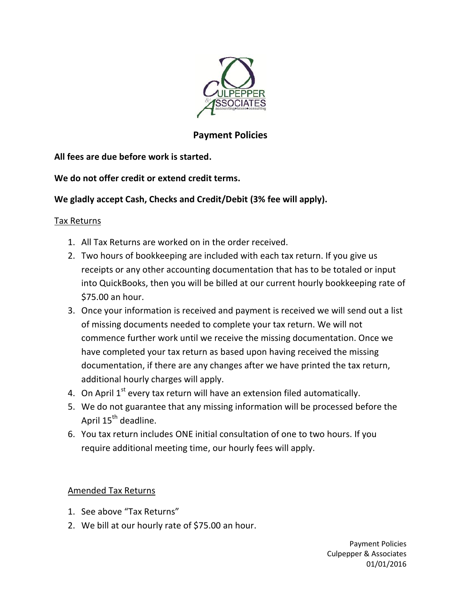

# **Payment Policies**

**All fees are due before work is started.**

**We do not offer credit or extend credit terms.**

## **We gladly accept Cash, Checks and Credit/Debit (3% fee will apply).**

## Tax Returns

- 1. All Tax Returns are worked on in the order received.
- 2. Two hours of bookkeeping are included with each tax return. If you give us receipts or any other accounting documentation that has to be totaled or input into QuickBooks, then you will be billed at our current hourly bookkeeping rate of \$75.00 an hour.
- 3. Once your information is received and payment is received we will send out a list of missing documents needed to complete your tax return. We will not commence further work until we receive the missing documentation. Once we have completed your tax return as based upon having received the missing documentation, if there are any changes after we have printed the tax return, additional hourly charges will apply.
- 4. On April  $1<sup>st</sup>$  every tax return will have an extension filed automatically.
- 5. We do not guarantee that any missing information will be processed before the April 15<sup>th</sup> deadline.
- 6. You tax return includes ONE initial consultation of one to two hours. If you require additional meeting time, our hourly fees will apply.

Amended Tax Returns

- 1. See above "Tax Returns"
- 2. We bill at our hourly rate of \$75.00 an hour.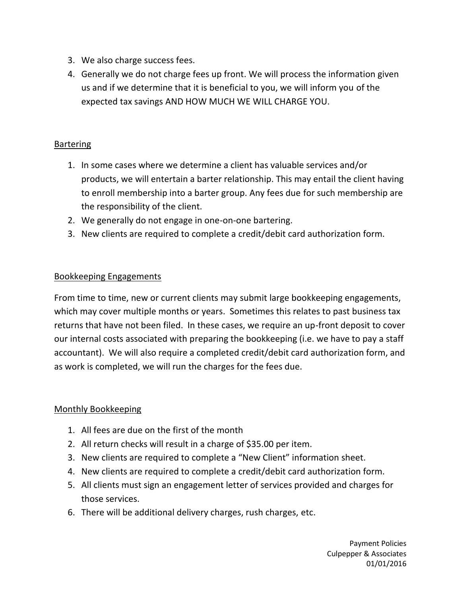- 3. We also charge success fees.
- 4. Generally we do not charge fees up front. We will process the information given us and if we determine that it is beneficial to you, we will inform you of the expected tax savings AND HOW MUCH WE WILL CHARGE YOU.

#### **Bartering**

- 1. In some cases where we determine a client has valuable services and/or products, we will entertain a barter relationship. This may entail the client having to enroll membership into a barter group. Any fees due for such membership are the responsibility of the client.
- 2. We generally do not engage in one-on-one bartering.
- 3. New clients are required to complete a credit/debit card authorization form.

### Bookkeeping Engagements

From time to time, new or current clients may submit large bookkeeping engagements, which may cover multiple months or years. Sometimes this relates to past business tax returns that have not been filed. In these cases, we require an up-front deposit to cover our internal costs associated with preparing the bookkeeping (i.e. we have to pay a staff accountant). We will also require a completed credit/debit card authorization form, and as work is completed, we will run the charges for the fees due.

### Monthly Bookkeeping

- 1. All fees are due on the first of the month
- 2. All return checks will result in a charge of \$35.00 per item.
- 3. New clients are required to complete a "New Client" information sheet.
- 4. New clients are required to complete a credit/debit card authorization form.
- 5. All clients must sign an engagement letter of services provided and charges for those services.
- 6. There will be additional delivery charges, rush charges, etc.